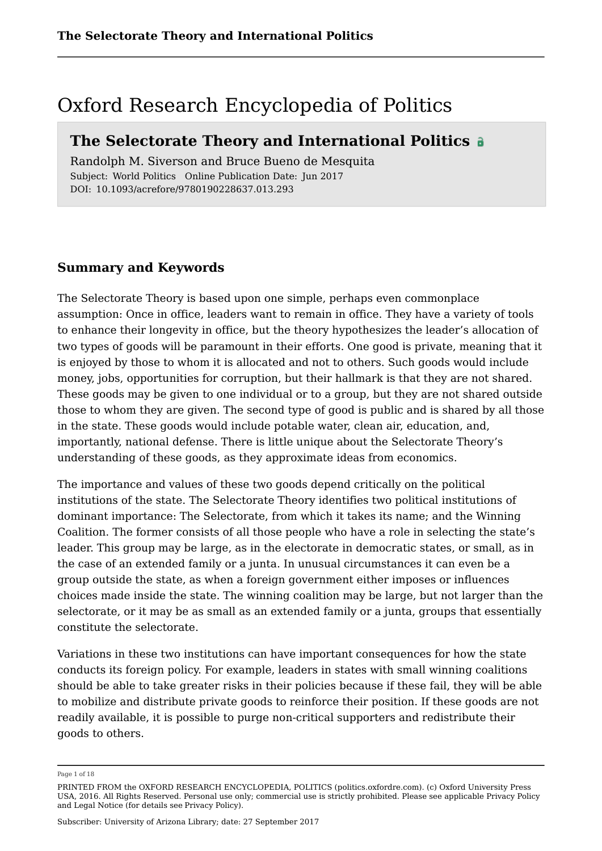### Oxford Research Encyclopedia of Politics

### **The Selectorate Theory and International Politics**

Randolph M. Siverson and Bruce Bueno de Mesquita Subject: World Politics Online Publication Date: Jun 2017 DOI: 10.1093/acrefore/9780190228637.013.293

### **Summary and Keywords**

The Selectorate Theory is based upon one simple, perhaps even commonplace assumption: Once in office, leaders want to remain in office. They have a variety of tools to enhance their longevity in office, but the theory hypothesizes the leader's allocation of two types of goods will be paramount in their efforts. One good is private, meaning that it is enjoyed by those to whom it is allocated and not to others. Such goods would include money, jobs, opportunities for corruption, but their hallmark is that they are not shared. These goods may be given to one individual or to a group, but they are not shared outside those to whom they are given. The second type of good is public and is shared by all those in the state. These goods would include potable water, clean air, education, and, importantly, national defense. There is little unique about the Selectorate Theory's understanding of these goods, as they approximate ideas from economics.

The importance and values of these two goods depend critically on the political institutions of the state. The Selectorate Theory identifies two political institutions of dominant importance: The Selectorate, from which it takes its name; and the Winning Coalition. The former consists of all those people who have a role in selecting the state's leader. This group may be large, as in the electorate in democratic states, or small, as in the case of an extended family or a junta. In unusual circumstances it can even be a group outside the state, as when a foreign government either imposes or influences choices made inside the state. The winning coalition may be large, but not larger than the selectorate, or it may be as small as an extended family or a junta, groups that essentially constitute the selectorate.

Variations in these two institutions can have important consequences for how the state conducts its foreign policy. For example, leaders in states with small winning coalitions should be able to take greater risks in their policies because if these fail, they will be able to mobilize and distribute private goods to reinforce their position. If these goods are not readily available, it is possible to purge non-critical supporters and redistribute their goods to others.

Page 1 of 18

PRINTED FROM the OXFORD RESEARCH ENCYCLOPEDIA, POLITICS (politics.oxfordre.com). (c) Oxford University Press USA, 2016. All Rights Reserved. Personal use only; commercial use is strictly prohibited. Please see applicable Privacy Policy and Legal Notice (for details see Privacy Policy).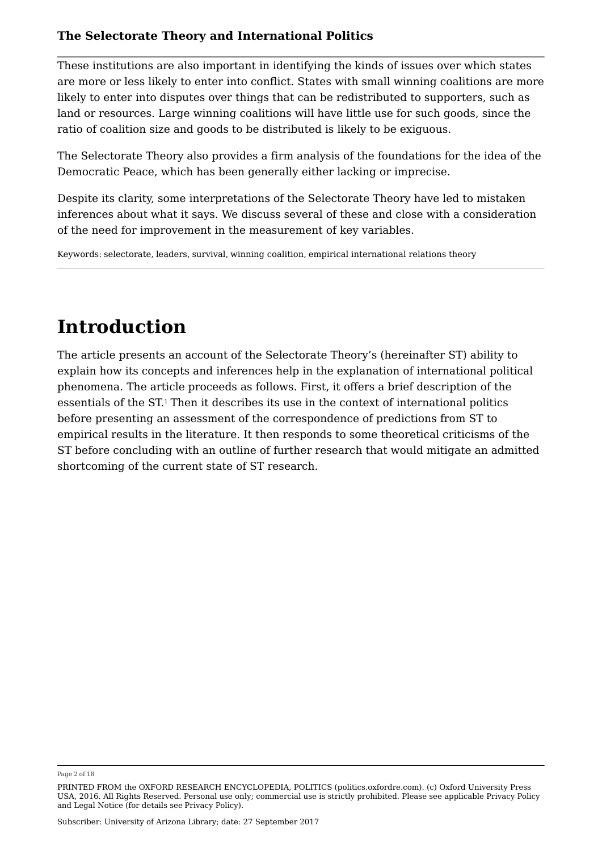These institutions are also important in identifying the kinds of issues over which states are more or less likely to enter into conflict. States with small winning coalitions are more likely to enter into disputes over things that can be redistributed to supporters, such as land or resources. Large winning coalitions will have little use for such goods, since the ratio of coalition size and goods to be distributed is likely to be exiguous.

The Selectorate Theory also provides a firm analysis of the foundations for the idea of the Democratic Peace, which has been generally either lacking or imprecise.

Despite its clarity, some interpretations of the Selectorate Theory have led to mistaken inferences about what it says. We discuss several of these and close with a consideration of the need for improvement in the measurement of key variables.

Keywords: selectorate, leaders, survival, winning coalition, empirical international relations theory

# **Introduction**

The article presents an account of the Selectorate Theory's (hereinafter ST) ability to explain how its concepts and inferences help in the explanation of international political phenomena. The article proceeds as follows. First, it offers a brief description of the essentials of the ST.1 Then it describes its use in the context of international politics before presenting an assessment of the correspondence of predictions from ST to empirical results in the literature. It then responds to some theoretical criticisms of the ST before concluding with an outline of further research that would mitigate an admitted shortcoming of the current state of ST research.

Page 2 of 18

PRINTED FROM the OXFORD RESEARCH ENCYCLOPEDIA, POLITICS (politics.oxfordre.com). (c) Oxford University Press USA, 2016. All Rights Reserved. Personal use only; commercial use is strictly prohibited. Please see applicable Privacy Policy and Legal Notice (for details see Privacy Policy).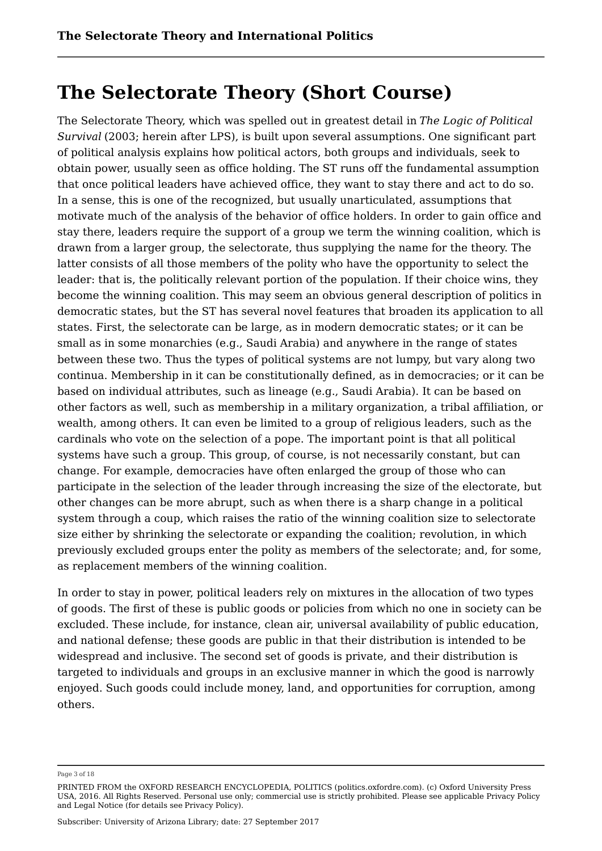### **The Selectorate Theory (Short Course)**

The Selectorate Theory, which was spelled out in greatest detail in *The Logic of Political Survival* (2003; herein after LPS), is built upon several assumptions. One significant part of political analysis explains how political actors, both groups and individuals, seek to obtain power, usually seen as office holding. The ST runs off the fundamental assumption that once political leaders have achieved office, they want to stay there and act to do so. In a sense, this is one of the recognized, but usually unarticulated, assumptions that motivate much of the analysis of the behavior of office holders. In order to gain office and stay there, leaders require the support of a group we term the winning coalition, which is drawn from a larger group, the selectorate, thus supplying the name for the theory. The latter consists of all those members of the polity who have the opportunity to select the leader: that is, the politically relevant portion of the population. If their choice wins, they become the winning coalition. This may seem an obvious general description of politics in democratic states, but the ST has several novel features that broaden its application to all states. First, the selectorate can be large, as in modern democratic states; or it can be small as in some monarchies (e.g., Saudi Arabia) and anywhere in the range of states between these two. Thus the types of political systems are not lumpy, but vary along two continua. Membership in it can be constitutionally defined, as in democracies; or it can be based on individual attributes, such as lineage (e.g., Saudi Arabia). It can be based on other factors as well, such as membership in a military organization, a tribal affiliation, or wealth, among others. It can even be limited to a group of religious leaders, such as the cardinals who vote on the selection of a pope. The important point is that all political systems have such a group. This group, of course, is not necessarily constant, but can change. For example, democracies have often enlarged the group of those who can participate in the selection of the leader through increasing the size of the electorate, but other changes can be more abrupt, such as when there is a sharp change in a political system through a coup, which raises the ratio of the winning coalition size to selectorate size either by shrinking the selectorate or expanding the coalition; revolution, in which previously excluded groups enter the polity as members of the selectorate; and, for some, as replacement members of the winning coalition.

In order to stay in power, political leaders rely on mixtures in the allocation of two types of goods. The first of these is public goods or policies from which no one in society can be excluded. These include, for instance, clean air, universal availability of public education, and national defense; these goods are public in that their distribution is intended to be widespread and inclusive. The second set of goods is private, and their distribution is targeted to individuals and groups in an exclusive manner in which the good is narrowly enjoyed. Such goods could include money, land, and opportunities for corruption, among others.

Page 3 of 18

PRINTED FROM the OXFORD RESEARCH ENCYCLOPEDIA, POLITICS (politics.oxfordre.com). (c) Oxford University Press USA, 2016. All Rights Reserved. Personal use only; commercial use is strictly prohibited. Please see applicable Privacy Policy and Legal Notice (for details see Privacy Policy).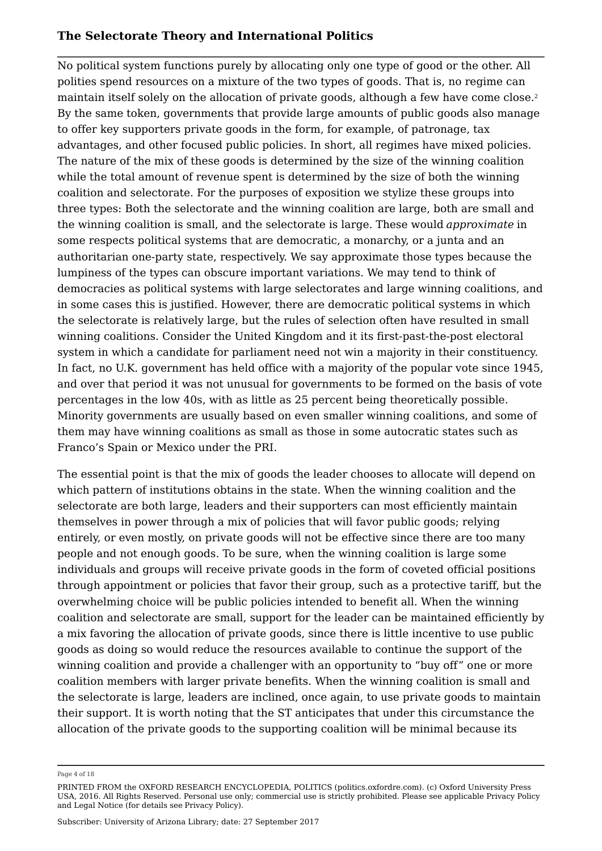No political system functions purely by allocating only one type of good or the other. All polities spend resources on a mixture of the two types of goods. That is, no regime can maintain itself solely on the allocation of private goods, although a few have come close. 2By the same token, governments that provide large amounts of public goods also manage to offer key supporters private goods in the form, for example, of patronage, tax advantages, and other focused public policies. In short, all regimes have mixed policies. The nature of the mix of these goods is determined by the size of the winning coalition while the total amount of revenue spent is determined by the size of both the winning coalition and selectorate. For the purposes of exposition we stylize these groups into three types: Both the selectorate and the winning coalition are large, both are small and the winning coalition is small, and the selectorate is large. These would *approximate* in some respects political systems that are democratic, a monarchy, or a junta and an authoritarian one-party state, respectively. We say approximate those types because the lumpiness of the types can obscure important variations. We may tend to think of democracies as political systems with large selectorates and large winning coalitions, and in some cases this is justified. However, there are democratic political systems in which the selectorate is relatively large, but the rules of selection often have resulted in small winning coalitions. Consider the United Kingdom and it its first-past-the-post electoral system in which a candidate for parliament need not win a majority in their constituency. In fact, no U.K. government has held office with a majority of the popular vote since 1945, and over that period it was not unusual for governments to be formed on the basis of vote percentages in the low 40s, with as little as 25 percent being theoretically possible. Minority governments are usually based on even smaller winning coalitions, and some of them may have winning coalitions as small as those in some autocratic states such as Franco's Spain or Mexico under the PRI.

The essential point is that the mix of goods the leader chooses to allocate will depend on which pattern of institutions obtains in the state. When the winning coalition and the selectorate are both large, leaders and their supporters can most efficiently maintain themselves in power through a mix of policies that will favor public goods; relying entirely, or even mostly, on private goods will not be effective since there are too many people and not enough goods. To be sure, when the winning coalition is large some individuals and groups will receive private goods in the form of coveted official positions through appointment or policies that favor their group, such as a protective tariff, but the overwhelming choice will be public policies intended to benefit all. When the winning coalition and selectorate are small, support for the leader can be maintained efficiently by a mix favoring the allocation of private goods, since there is little incentive to use public goods as doing so would reduce the resources available to continue the support of the winning coalition and provide a challenger with an opportunity to "buy off" one or more coalition members with larger private benefits. When the winning coalition is small and the selectorate is large, leaders are inclined, once again, to use private goods to maintain their support. It is worth noting that the ST anticipates that under this circumstance the allocation of the private goods to the supporting coalition will be minimal because its

Page 4 of 18

PRINTED FROM the OXFORD RESEARCH ENCYCLOPEDIA, POLITICS (politics.oxfordre.com). (c) Oxford University Press USA, 2016. All Rights Reserved. Personal use only; commercial use is strictly prohibited. Please see applicable Privacy Policy and Legal Notice (for details see Privacy Policy).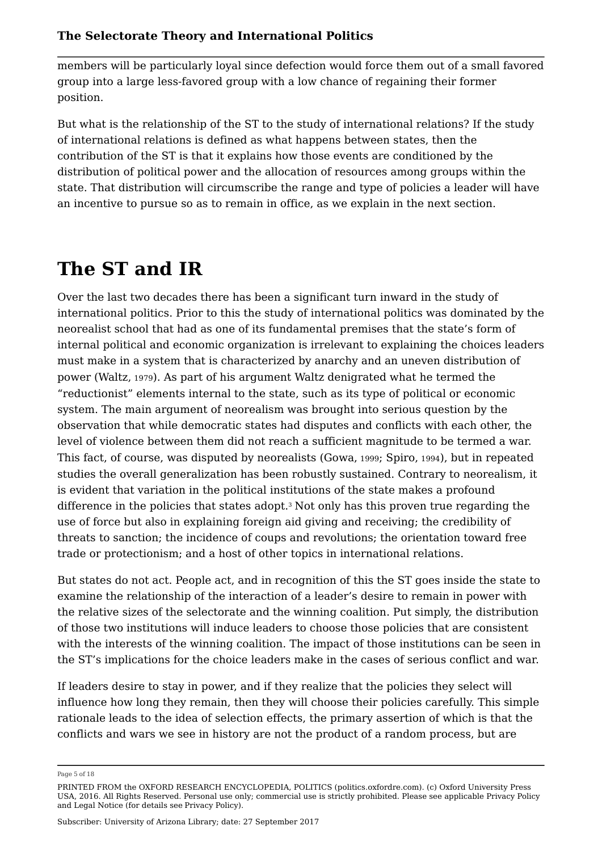members will be particularly loyal since defection would force them out of a small favored group into a large less-favored group with a low chance of regaining their former position.

But what is the relationship of the ST to the study of international relations? If the study of international relations is defined as what happens between states, then the contribution of the ST is that it explains how those events are conditioned by the distribution of political power and the allocation of resources among groups within the state. That distribution will circumscribe the range and type of policies a leader will have an incentive to pursue so as to remain in office, as we explain in the next section.

# **The ST and IR**

Over the last two decades there has been a significant turn inward in the study of international politics. Prior to this the study of international politics was dominated by the neorealist school that had as one of its fundamental premises that the state's form of internal political and economic organization is irrelevant to explaining the choices leaders must make in a system that is characterized by anarchy and an uneven distribution of power (Waltz, 1979). As part of his argument Waltz denigrated what he termed the "reductionist" elements internal to the state, such as its type of political or economic system. The main argument of neorealism was brought into serious question by the observation that while democratic states had disputes and conflicts with each other, the level of violence between them did not reach a sufficient magnitude to be termed a war. This fact, of course, was disputed by neorealists (Gowa, 1999; Spiro, 1994), but in repeated studies the overall generalization has been robustly sustained. Contrary to neorealism, it is evident that variation in the political institutions of the state makes a profound difference in the policies that states adopt. $^{\rm 3}$  Not only has this proven true regarding the use of force but also in explaining foreign aid giving and receiving; the credibility of threats to sanction; the incidence of coups and revolutions; the orientation toward free trade or protectionism; and a host of other topics in international relations.

But states do not act. People act, and in recognition of this the ST goes inside the state to examine the relationship of the interaction of a leader's desire to remain in power with the relative sizes of the selectorate and the winning coalition. Put simply, the distribution of those two institutions will induce leaders to choose those policies that are consistent with the interests of the winning coalition. The impact of those institutions can be seen in the ST's implications for the choice leaders make in the cases of serious conflict and war.

If leaders desire to stay in power, and if they realize that the policies they select will influence how long they remain, then they will choose their policies carefully. This simple rationale leads to the idea of selection effects, the primary assertion of which is that the conflicts and wars we see in history are not the product of a random process, but are

Page 5 of 18

PRINTED FROM the OXFORD RESEARCH ENCYCLOPEDIA, POLITICS (politics.oxfordre.com). (c) Oxford University Press USA, 2016. All Rights Reserved. Personal use only; commercial use is strictly prohibited. Please see applicable Privacy Policy and Legal Notice (for details see Privacy Policy).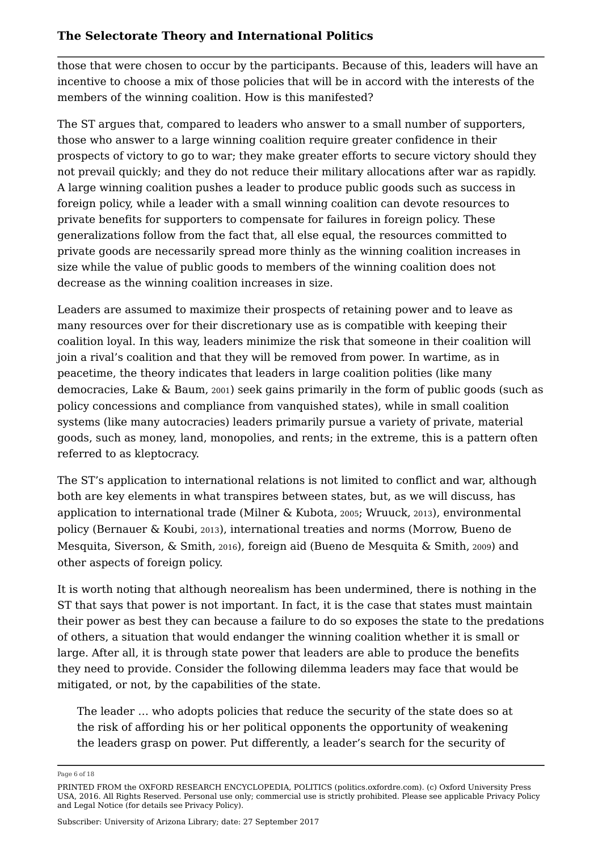those that were chosen to occur by the participants. Because of this, leaders will have an incentive to choose a mix of those policies that will be in accord with the interests of the members of the winning coalition. How is this manifested?

The ST argues that, compared to leaders who answer to a small number of supporters, those who answer to a large winning coalition require greater confidence in their prospects of victory to go to war; they make greater efforts to secure victory should they not prevail quickly; and they do not reduce their military allocations after war as rapidly. A large winning coalition pushes a leader to produce public goods such as success in foreign policy, while a leader with a small winning coalition can devote resources to private benefits for supporters to compensate for failures in foreign policy. These generalizations follow from the fact that, all else equal, the resources committed to private goods are necessarily spread more thinly as the winning coalition increases in size while the value of public goods to members of the winning coalition does not decrease as the winning coalition increases in size.

Leaders are assumed to maximize their prospects of retaining power and to leave as many resources over for their discretionary use as is compatible with keeping their coalition loyal. In this way, leaders minimize the risk that someone in their coalition will join a rival's coalition and that they will be removed from power. In wartime, as in peacetime, the theory indicates that leaders in large coalition polities (like many democracies, Lake & Baum, 2001) seek gains primarily in the form of public goods (such as policy concessions and compliance from vanquished states), while in small coalition systems (like many autocracies) leaders primarily pursue a variety of private, material goods, such as money, land, monopolies, and rents; in the extreme, this is a pattern often referred to as kleptocracy.

The ST's application to international relations is not limited to conflict and war, although both are key elements in what transpires between states, but, as we will discuss, has application to international trade (Milner & Kubota, 2005; Wruuck, 2013), environmental policy (Bernauer & Koubi, 2013), international treaties and norms (Morrow, Bueno de Mesquita, Siverson, & Smith, 2016), foreign aid (Bueno de Mesquita & Smith, 2009) and other aspects of foreign policy.

It is worth noting that although neorealism has been undermined, there is nothing in the ST that says that power is not important. In fact, it is the case that states must maintain their power as best they can because a failure to do so exposes the state to the predations of others, a situation that would endanger the winning coalition whether it is small or large. After all, it is through state power that leaders are able to produce the benefits they need to provide. Consider the following dilemma leaders may face that would be mitigated, or not, by the capabilities of the state.

The leader … who adopts policies that reduce the security of the state does so at the risk of affording his or her political opponents the opportunity of weakening the leaders grasp on power. Put differently, a leader's search for the security of

Page 6 of 18

PRINTED FROM the OXFORD RESEARCH ENCYCLOPEDIA, POLITICS (politics.oxfordre.com). (c) Oxford University Press USA, 2016. All Rights Reserved. Personal use only; commercial use is strictly prohibited. Please see applicable Privacy Policy and Legal Notice (for details see Privacy Policy).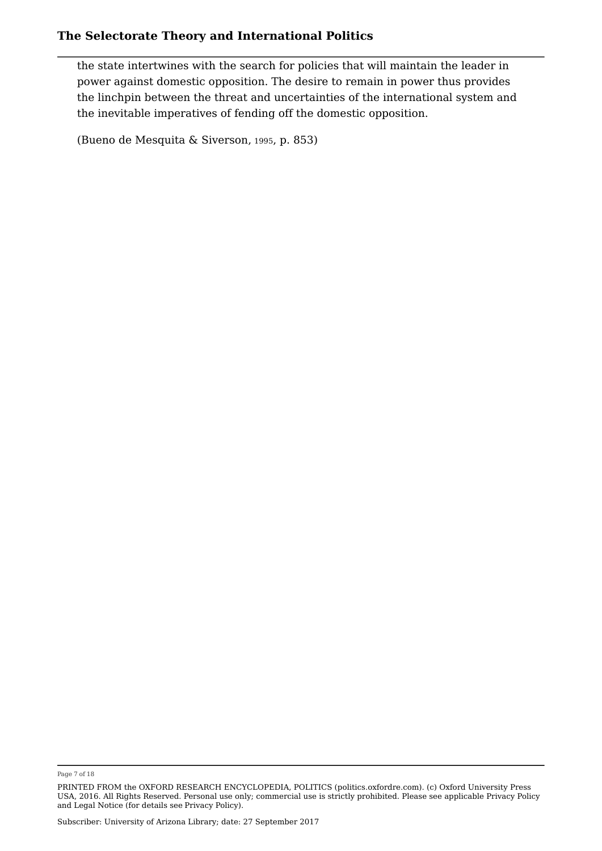the state intertwines with the search for policies that will maintain the leader in power against domestic opposition. The desire to remain in power thus provides the linchpin between the threat and uncertainties of the international system and the inevitable imperatives of fending off the domestic opposition.

(Bueno de Mesquita & Siverson, <sup>1995</sup>, p. 853)

Page 7 of 18

PRINTED FROM the OXFORD RESEARCH ENCYCLOPEDIA, POLITICS (politics.oxfordre.com). (c) Oxford University Press USA, 2016. All Rights Reserved. Personal use only; commercial use is strictly prohibited. Please see applicable Privacy Policy and Legal Notice (for details see Privacy Policy).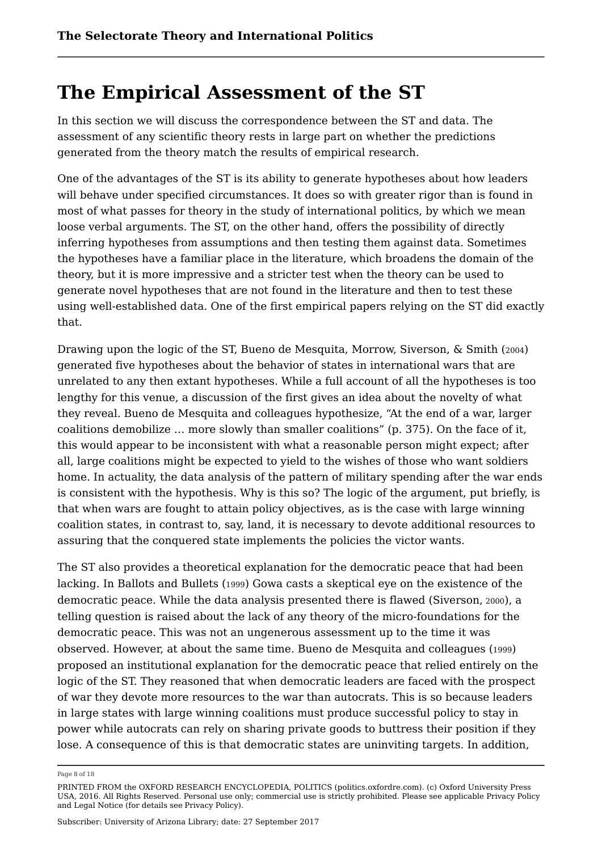## **The Empirical Assessment of the ST**

In this section we will discuss the correspondence between the ST and data. The assessment of any scientific theory rests in large part on whether the predictions generated from the theory match the results of empirical research.

One of the advantages of the ST is its ability to generate hypotheses about how leaders will behave under specified circumstances. It does so with greater rigor than is found in most of what passes for theory in the study of international politics, by which we mean loose verbal arguments. The ST, on the other hand, offers the possibility of directly inferring hypotheses from assumptions and then testing them against data. Sometimes the hypotheses have a familiar place in the literature, which broadens the domain of the theory, but it is more impressive and a stricter test when the theory can be used to generate novel hypotheses that are not found in the literature and then to test these using well-established data. One of the first empirical papers relying on the ST did exactly that.

Drawing upon the logic of the ST, Bueno de Mesquita, Morrow, Siverson, & Smith (2004) generated five hypotheses about the behavior of states in international wars that are unrelated to any then extant hypotheses. While a full account of all the hypotheses is too lengthy for this venue, a discussion of the first gives an idea about the novelty of what they reveal. Bueno de Mesquita and colleagues hypothesize, "At the end of a war, larger coalitions demobilize … more slowly than smaller coalitions" (p. 375). On the face of it, this would appear to be inconsistent with what a reasonable person might expect; after all, large coalitions might be expected to yield to the wishes of those who want soldiers home. In actuality, the data analysis of the pattern of military spending after the war ends is consistent with the hypothesis. Why is this so? The logic of the argument, put briefly, is that when wars are fought to attain policy objectives, as is the case with large winning coalition states, in contrast to, say, land, it is necessary to devote additional resources to assuring that the conquered state implements the policies the victor wants.

The ST also provides a theoretical explanation for the democratic peace that had been lacking. In Ballots and Bullets (1999) Gowa casts a skeptical eye on the existence of the democratic peace. While the data analysis presented there is flawed (Siverson, <sup>2000</sup>), a telling question is raised about the lack of any theory of the micro-foundations for the democratic peace. This was not an ungenerous assessment up to the time it was observed. However, at about the same time. Bueno de Mesquita and colleagues (1999) proposed an institutional explanation for the democratic peace that relied entirely on the logic of the ST. They reasoned that when democratic leaders are faced with the prospect of war they devote more resources to the war than autocrats. This is so because leaders in large states with large winning coalitions must produce successful policy to stay in power while autocrats can rely on sharing private goods to buttress their position if they lose. A consequence of this is that democratic states are uninviting targets. In addition,

Page 8 of 18

PRINTED FROM the OXFORD RESEARCH ENCYCLOPEDIA, POLITICS (politics.oxfordre.com). (c) Oxford University Press USA, 2016. All Rights Reserved. Personal use only; commercial use is strictly prohibited. Please see applicable Privacy Policy and Legal Notice (for details see Privacy Policy).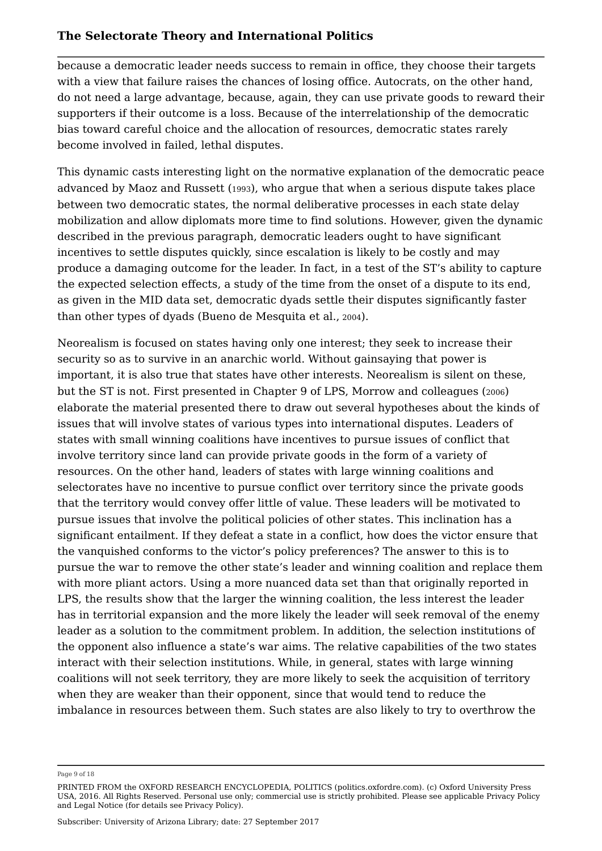because a democratic leader needs success to remain in office, they choose their targets with a view that failure raises the chances of losing office. Autocrats, on the other hand, do not need a large advantage, because, again, they can use private goods to reward their supporters if their outcome is a loss. Because of the interrelationship of the democratic bias toward careful choice and the allocation of resources, democratic states rarely become involved in failed, lethal disputes.

This dynamic casts interesting light on the normative explanation of the democratic peace advanced by Maoz and Russett (1993), who argue that when a serious dispute takes place between two democratic states, the normal deliberative processes in each state delay mobilization and allow diplomats more time to find solutions. However, given the dynamic described in the previous paragraph, democratic leaders ought to have significant incentives to settle disputes quickly, since escalation is likely to be costly and may produce a damaging outcome for the leader. In fact, in a test of the ST's ability to capture the expected selection effects, a study of the time from the onset of a dispute to its end, as given in the MID data set, democratic dyads settle their disputes significantly faster than other types of dyads (Bueno de Mesquita et al., <sup>2004</sup>).

Neorealism is focused on states having only one interest; they seek to increase their security so as to survive in an anarchic world. Without gainsaying that power is important, it is also true that states have other interests. Neorealism is silent on these, but the ST is not. First presented in Chapter 9 of LPS, Morrow and colleagues (2006) elaborate the material presented there to draw out several hypotheses about the kinds of issues that will involve states of various types into international disputes. Leaders of states with small winning coalitions have incentives to pursue issues of conflict that involve territory since land can provide private goods in the form of a variety of resources. On the other hand, leaders of states with large winning coalitions and selectorates have no incentive to pursue conflict over territory since the private goods that the territory would convey offer little of value. These leaders will be motivated to pursue issues that involve the political policies of other states. This inclination has a significant entailment. If they defeat a state in a conflict, how does the victor ensure that the vanquished conforms to the victor's policy preferences? The answer to this is to pursue the war to remove the other state's leader and winning coalition and replace them with more pliant actors. Using a more nuanced data set than that originally reported in LPS, the results show that the larger the winning coalition, the less interest the leader has in territorial expansion and the more likely the leader will seek removal of the enemy leader as a solution to the commitment problem. In addition, the selection institutions of the opponent also influence a state's war aims. The relative capabilities of the two states interact with their selection institutions. While, in general, states with large winning coalitions will not seek territory, they are more likely to seek the acquisition of territory when they are weaker than their opponent, since that would tend to reduce the imbalance in resources between them. Such states are also likely to try to overthrow the

Page 9 of 18

PRINTED FROM the OXFORD RESEARCH ENCYCLOPEDIA, POLITICS (politics.oxfordre.com). (c) Oxford University Press USA, 2016. All Rights Reserved. Personal use only; commercial use is strictly prohibited. Please see applicable Privacy Policy and Legal Notice (for details see Privacy Policy).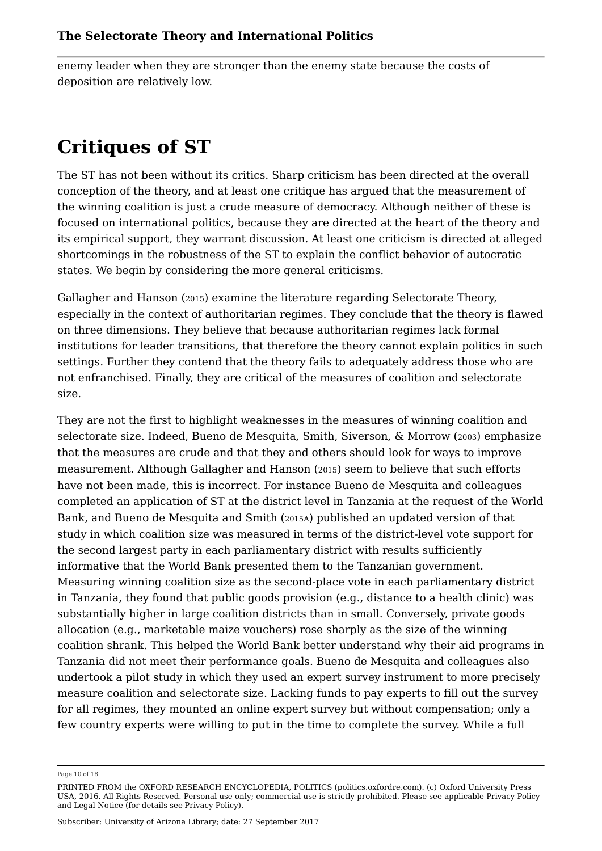enemy leader when they are stronger than the enemy state because the costs of deposition are relatively low.

### **Critiques of ST**

The ST has not been without its critics. Sharp criticism has been directed at the overall conception of the theory, and at least one critique has argued that the measurement of the winning coalition is just a crude measure of democracy. Although neither of these is focused on international politics, because they are directed at the heart of the theory and its empirical support, they warrant discussion. At least one criticism is directed at alleged shortcomings in the robustness of the ST to explain the conflict behavior of autocratic states. We begin by considering the more general criticisms.

Gallagher and Hanson (2015) examine the literature regarding Selectorate Theory, especially in the context of authoritarian regimes. They conclude that the theory is flawed on three dimensions. They believe that because authoritarian regimes lack formal institutions for leader transitions, that therefore the theory cannot explain politics in such settings. Further they contend that the theory fails to adequately address those who are not enfranchised. Finally, they are critical of the measures of coalition and selectorate size.

They are not the first to highlight weaknesses in the measures of winning coalition and selectorate size. Indeed, Bueno de Mesquita, Smith, Siverson, & Morrow (2003) emphasize that the measures are crude and that they and others should look for ways to improve measurement. Although Gallagher and Hanson (2015) seem to believe that such efforts have not been made, this is incorrect. For instance Bueno de Mesquita and colleagues completed an application of ST at the district level in Tanzania at the request of the World Bank, and Bueno de Mesquita and Smith (2015A) published an updated version of that study in which coalition size was measured in terms of the district-level vote support for the second largest party in each parliamentary district with results sufficiently informative that the World Bank presented them to the Tanzanian government. Measuring winning coalition size as the second-place vote in each parliamentary district in Tanzania, they found that public goods provision (e.g., distance to a health clinic) was substantially higher in large coalition districts than in small. Conversely, private goods allocation (e.g., marketable maize vouchers) rose sharply as the size of the winning coalition shrank. This helped the World Bank better understand why their aid programs in Tanzania did not meet their performance goals. Bueno de Mesquita and colleagues also undertook a pilot study in which they used an expert survey instrument to more precisely measure coalition and selectorate size. Lacking funds to pay experts to fill out the survey for all regimes, they mounted an online expert survey but without compensation; only a few country experts were willing to put in the time to complete the survey. While a full

Page 10 of 18

PRINTED FROM the OXFORD RESEARCH ENCYCLOPEDIA, POLITICS (politics.oxfordre.com). (c) Oxford University Press USA, 2016. All Rights Reserved. Personal use only; commercial use is strictly prohibited. Please see applicable Privacy Policy and Legal Notice (for details see Privacy Policy).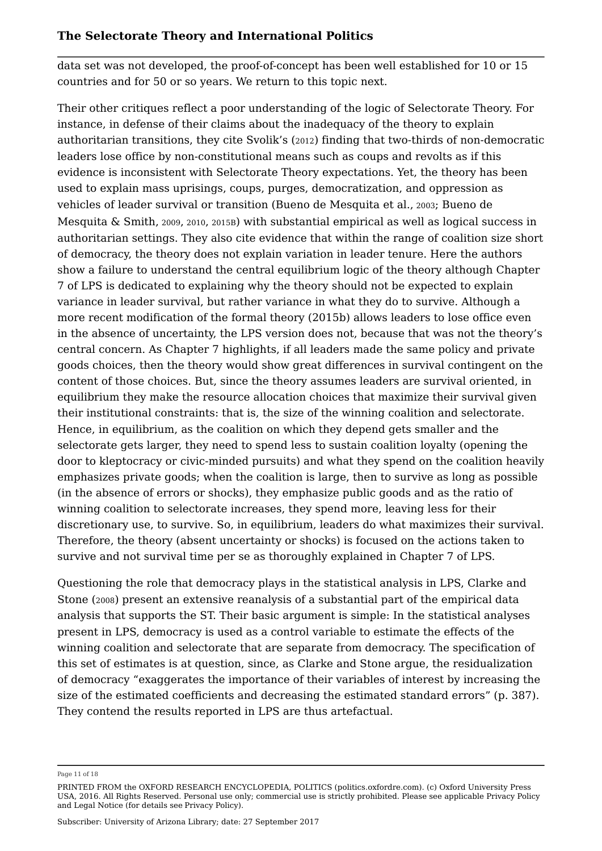data set was not developed, the proof-of-concept has been well established for 10 or 15 countries and for 50 or so years. We return to this topic next.

Their other critiques reflect a poor understanding of the logic of Selectorate Theory. For instance, in defense of their claims about the inadequacy of the theory to explain authoritarian transitions, they cite Svolik's (2012) finding that two-thirds of non-democratic leaders lose office by non-constitutional means such as coups and revolts as if this evidence is inconsistent with Selectorate Theory expectations. Yet, the theory has been used to explain mass uprisings, coups, purges, democratization, and oppression as vehicles of leader survival or transition (Bueno de Mesquita et al., <sup>2003</sup>; Bueno de Mesquita & Smith, <sup>2009</sup>, <sup>2010</sup>, 2015B) with substantial empirical as well as logical success in authoritarian settings. They also cite evidence that within the range of coalition size short of democracy, the theory does not explain variation in leader tenure. Here the authors show a failure to understand the central equilibrium logic of the theory although Chapter 7 of LPS is dedicated to explaining why the theory should not be expected to explain variance in leader survival, but rather variance in what they do to survive. Although a more recent modification of the formal theory (2015b) allows leaders to lose office even in the absence of uncertainty, the LPS version does not, because that was not the theory's central concern. As Chapter 7 highlights, if all leaders made the same policy and private goods choices, then the theory would show great differences in survival contingent on the content of those choices. But, since the theory assumes leaders are survival oriented, in equilibrium they make the resource allocation choices that maximize their survival given their institutional constraints: that is, the size of the winning coalition and selectorate. Hence, in equilibrium, as the coalition on which they depend gets smaller and the selectorate gets larger, they need to spend less to sustain coalition loyalty (opening the door to kleptocracy or civic-minded pursuits) and what they spend on the coalition heavily emphasizes private goods; when the coalition is large, then to survive as long as possible (in the absence of errors or shocks), they emphasize public goods and as the ratio of winning coalition to selectorate increases, they spend more, leaving less for their discretionary use, to survive. So, in equilibrium, leaders do what maximizes their survival. Therefore, the theory (absent uncertainty or shocks) is focused on the actions taken to survive and not survival time per se as thoroughly explained in Chapter 7 of LPS.

Questioning the role that democracy plays in the statistical analysis in LPS, Clarke and Stone (2008) present an extensive reanalysis of a substantial part of the empirical data analysis that supports the ST. Their basic argument is simple: In the statistical analyses present in LPS, democracy is used as a control variable to estimate the effects of the winning coalition and selectorate that are separate from democracy. The specification of this set of estimates is at question, since, as Clarke and Stone argue, the residualization of democracy "exaggerates the importance of their variables of interest by increasing the size of the estimated coefficients and decreasing the estimated standard errors" (p. 387). They contend the results reported in LPS are thus artefactual.

Page 11 of 18

PRINTED FROM the OXFORD RESEARCH ENCYCLOPEDIA, POLITICS (politics.oxfordre.com). (c) Oxford University Press USA, 2016. All Rights Reserved. Personal use only; commercial use is strictly prohibited. Please see applicable Privacy Policy and Legal Notice (for details see Privacy Policy).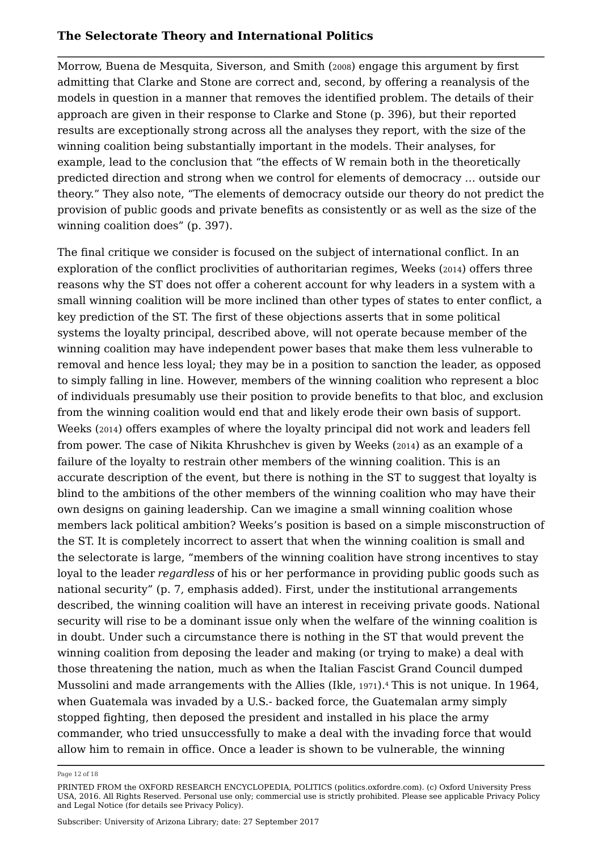Morrow, Buena de Mesquita, Siverson, and Smith (2008) engage this argument by first admitting that Clarke and Stone are correct and, second, by offering a reanalysis of the models in question in a manner that removes the identified problem. The details of their approach are given in their response to Clarke and Stone (p. 396), but their reported results are exceptionally strong across all the analyses they report, with the size of the winning coalition being substantially important in the models. Their analyses, for example, lead to the conclusion that "the effects of W remain both in the theoretically predicted direction and strong when we control for elements of democracy … outside our theory." They also note, "The elements of democracy outside our theory do not predict the provision of public goods and private benefits as consistently or as well as the size of the winning coalition does" (p. 397).

The final critique we consider is focused on the subject of international conflict. In an exploration of the conflict proclivities of authoritarian regimes, Weeks (2014) offers three reasons why the ST does not offer a coherent account for why leaders in a system with a small winning coalition will be more inclined than other types of states to enter conflict, a key prediction of the ST. The first of these objections asserts that in some political systems the loyalty principal, described above, will not operate because member of the winning coalition may have independent power bases that make them less vulnerable to removal and hence less loyal; they may be in a position to sanction the leader, as opposed to simply falling in line. However, members of the winning coalition who represent a bloc of individuals presumably use their position to provide benefits to that bloc, and exclusion from the winning coalition would end that and likely erode their own basis of support. Weeks (2014) offers examples of where the loyalty principal did not work and leaders fell from power. The case of Nikita Khrushchev is given by Weeks (2014) as an example of a failure of the loyalty to restrain other members of the winning coalition. This is an accurate description of the event, but there is nothing in the ST to suggest that loyalty is blind to the ambitions of the other members of the winning coalition who may have their own designs on gaining leadership. Can we imagine a small winning coalition whose members lack political ambition? Weeks's position is based on a simple misconstruction of the ST. It is completely incorrect to assert that when the winning coalition is small and the selectorate is large, "members of the winning coalition have strong incentives to stay loyal to the leader *regardless* of his or her performance in providing public goods such as national security" (p. 7, emphasis added). First, under the institutional arrangements described, the winning coalition will have an interest in receiving private goods. National security will rise to be a dominant issue only when the welfare of the winning coalition is in doubt. Under such a circumstance there is nothing in the ST that would prevent the winning coalition from deposing the leader and making (or trying to make) a deal with those threatening the nation, much as when the Italian Fascist Grand Council dumped Mussolini and made arrangements with the Allies (Ikle, 1971).4 This is not unique. In 1964, when Guatemala was invaded by a U.S.- backed force, the Guatemalan army simply stopped fighting, then deposed the president and installed in his place the army commander, who tried unsuccessfully to make a deal with the invading force that would allow him to remain in office. Once a leader is shown to be vulnerable, the winning

Page 12 of 18

PRINTED FROM the OXFORD RESEARCH ENCYCLOPEDIA, POLITICS (politics.oxfordre.com). (c) Oxford University Press USA, 2016. All Rights Reserved. Personal use only; commercial use is strictly prohibited. Please see applicable Privacy Policy and Legal Notice (for details see Privacy Policy).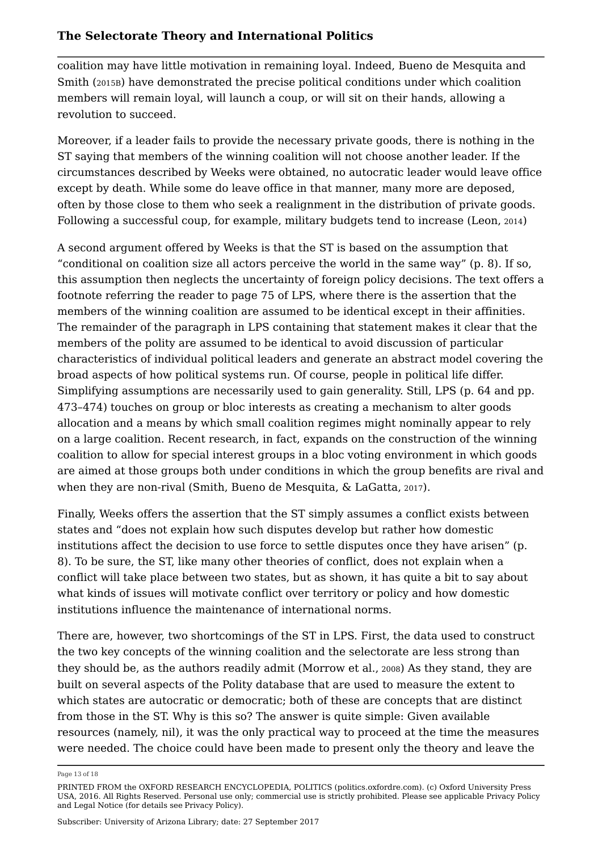coalition may have little motivation in remaining loyal. Indeed, Bueno de Mesquita and Smith (2015B) have demonstrated the precise political conditions under which coalition members will remain loyal, will launch a coup, or will sit on their hands, allowing a revolution to succeed.

Moreover, if a leader fails to provide the necessary private goods, there is nothing in the ST saying that members of the winning coalition will not choose another leader. If the circumstances described by Weeks were obtained, no autocratic leader would leave office except by death. While some do leave office in that manner, many more are deposed, often by those close to them who seek a realignment in the distribution of private goods. Following a successful coup, for example, military budgets tend to increase (Leon, <sup>2014</sup>)

A second argument offered by Weeks is that the ST is based on the assumption that "conditional on coalition size all actors perceive the world in the same way" (p. 8). If so, this assumption then neglects the uncertainty of foreign policy decisions. The text offers a footnote referring the reader to page 75 of LPS, where there is the assertion that the members of the winning coalition are assumed to be identical except in their affinities. The remainder of the paragraph in LPS containing that statement makes it clear that the members of the polity are assumed to be identical to avoid discussion of particular characteristics of individual political leaders and generate an abstract model covering the broad aspects of how political systems run. Of course, people in political life differ. Simplifying assumptions are necessarily used to gain generality. Still, LPS (p. 64 and pp. 473–474) touches on group or bloc interests as creating a mechanism to alter goods allocation and a means by which small coalition regimes might nominally appear to rely on a large coalition. Recent research, in fact, expands on the construction of the winning coalition to allow for special interest groups in a bloc voting environment in which goods are aimed at those groups both under conditions in which the group benefits are rival and when they are non-rival (Smith, Bueno de Mesquita, & LaGatta, 2017).

Finally, Weeks offers the assertion that the ST simply assumes a conflict exists between states and "does not explain how such disputes develop but rather how domestic institutions affect the decision to use force to settle disputes once they have arisen" (p. 8). To be sure, the ST, like many other theories of conflict, does not explain when a conflict will take place between two states, but as shown, it has quite a bit to say about what kinds of issues will motivate conflict over territory or policy and how domestic institutions influence the maintenance of international norms.

There are, however, two shortcomings of the ST in LPS. First, the data used to construct the two key concepts of the winning coalition and the selectorate are less strong than they should be, as the authors readily admit (Morrow et al., <sup>2008</sup>) As they stand, they are built on several aspects of the Polity database that are used to measure the extent to which states are autocratic or democratic; both of these are concepts that are distinct from those in the ST. Why is this so? The answer is quite simple: Given available resources (namely, nil), it was the only practical way to proceed at the time the measures were needed. The choice could have been made to present only the theory and leave the

Page 13 of 18

PRINTED FROM the OXFORD RESEARCH ENCYCLOPEDIA, POLITICS (politics.oxfordre.com). (c) Oxford University Press USA, 2016. All Rights Reserved. Personal use only; commercial use is strictly prohibited. Please see applicable Privacy Policy and Legal Notice (for details see Privacy Policy).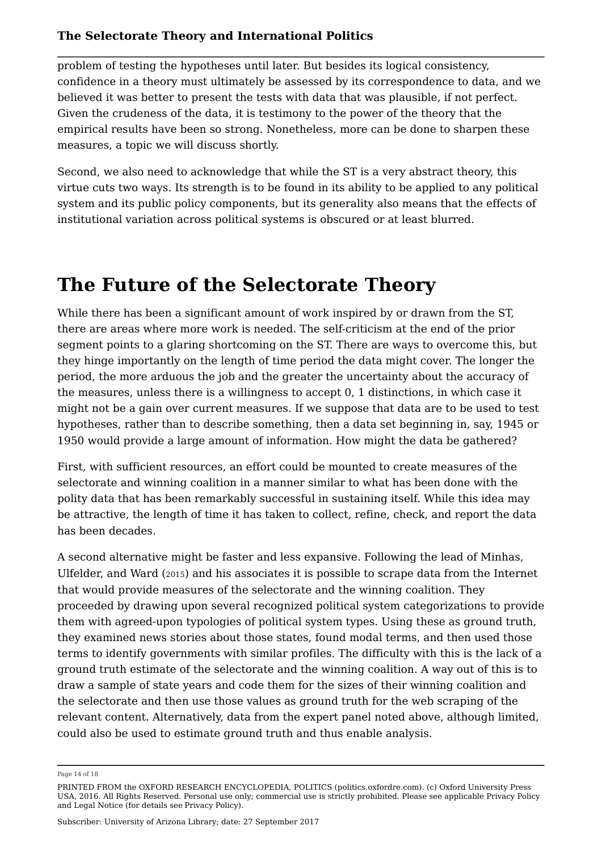problem of testing the hypotheses until later. But besides its logical consistency, confidence in a theory must ultimately be assessed by its correspondence to data, and we believed it was better to present the tests with data that was plausible, if not perfect. Given the crudeness of the data, it is testimony to the power of the theory that the empirical results have been so strong. Nonetheless, more can be done to sharpen these measures, a topic we will discuss shortly.

Second, we also need to acknowledge that while the ST is a very abstract theory, this virtue cuts two ways. Its strength is to be found in its ability to be applied to any political system and its public policy components, but its generality also means that the effects of institutional variation across political systems is obscured or at least blurred.

## **The Future of the Selectorate Theory**

While there has been a significant amount of work inspired by or drawn from the ST, there are areas where more work is needed. The self-criticism at the end of the prior segment points to a glaring shortcoming on the ST. There are ways to overcome this, but they hinge importantly on the length of time period the data might cover. The longer the period, the more arduous the job and the greater the uncertainty about the accuracy of the measures, unless there is a willingness to accept 0, 1 distinctions, in which case it might not be a gain over current measures. If we suppose that data are to be used to test hypotheses, rather than to describe something, then a data set beginning in, say, 1945 or 1950 would provide a large amount of information. How might the data be gathered?

First, with sufficient resources, an effort could be mounted to create measures of the selectorate and winning coalition in a manner similar to what has been done with the polity data that has been remarkably successful in sustaining itself. While this idea may be attractive, the length of time it has taken to collect, refine, check, and report the data has been decades.

A second alternative might be faster and less expansive. Following the lead of Minhas, Ulfelder, and Ward (2015) and his associates it is possible to scrape data from the Internet that would provide measures of the selectorate and the winning coalition. They proceeded by drawing upon several recognized political system categorizations to provide them with agreed-upon typologies of political system types. Using these as ground truth, they examined news stories about those states, found modal terms, and then used those terms to identify governments with similar profiles. The difficulty with this is the lack of a ground truth estimate of the selectorate and the winning coalition. A way out of this is to draw a sample of state years and code them for the sizes of their winning coalition and the selectorate and then use those values as ground truth for the web scraping of the relevant content. Alternatively, data from the expert panel noted above, although limited, could also be used to estimate ground truth and thus enable analysis.

Page 14 of 18

PRINTED FROM the OXFORD RESEARCH ENCYCLOPEDIA, POLITICS (politics.oxfordre.com). (c) Oxford University Press USA, 2016. All Rights Reserved. Personal use only; commercial use is strictly prohibited. Please see applicable Privacy Policy and Legal Notice (for details see Privacy Policy).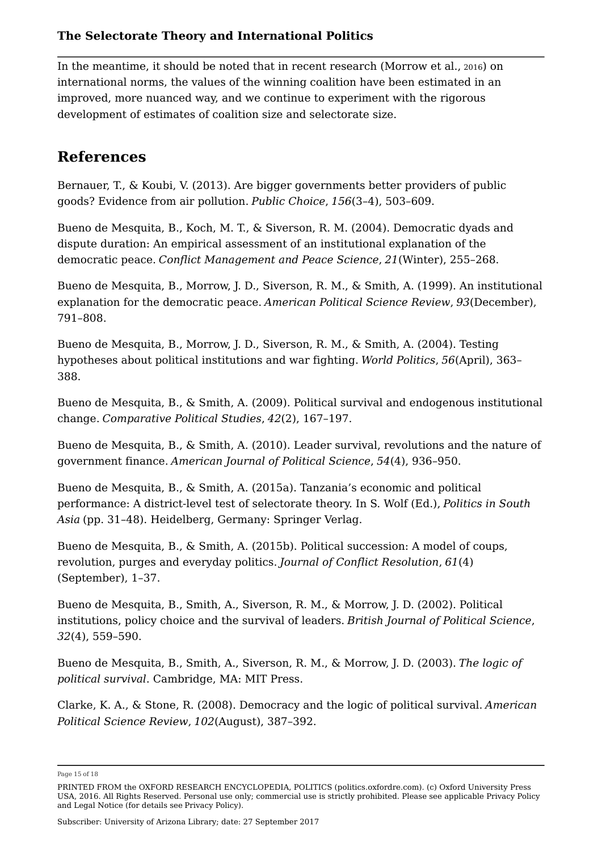In the meantime, it should be noted that in recent research (Morrow et al., <sup>2016</sup>) on international norms, the values of the winning coalition have been estimated in an improved, more nuanced way, and we continue to experiment with the rigorous development of estimates of coalition size and selectorate size.

### **References**

Bernauer, T., & Koubi, V. (2013). Are bigger governments better providers of public goods? Evidence from air pollution. *Public Choice*, *156*(3–4), 503–609.

Bueno de Mesquita, B., Koch, M. T., & Siverson, R. M. (2004). Democratic dyads and dispute duration: An empirical assessment of an institutional explanation of the democratic peace. *Conflict Management and Peace Science*, *21*(Winter), 255–268.

Bueno de Mesquita, B., Morrow, J. D., Siverson, R. M., & Smith, A. (1999). An institutional explanation for the democratic peace. *American Political Science Review*, *93*(December), 791–808.

Bueno de Mesquita, B., Morrow, J. D., Siverson, R. M., & Smith, A. (2004). Testing hypotheses about political institutions and war fighting. *World Politics*, *56*(April), 363– 388.

Bueno de Mesquita, B., & Smith, A. (2009). Political survival and endogenous institutional change. *Comparative Political Studies*, *42*(2), 167–197.

Bueno de Mesquita, B., & Smith, A. (2010). Leader survival, revolutions and the nature of government finance. *American Journal of Political Science*, *54*(4), 936–950.

Bueno de Mesquita, B., & Smith, A. (2015a). Tanzania's economic and political performance: A district-level test of selectorate theory. In S. Wolf (Ed.), *Politics in South Asia* (pp. 31–48). Heidelberg, Germany: Springer Verlag.

Bueno de Mesquita, B., & Smith, A. (2015b). Political succession: A model of coups, revolution, purges and everyday politics. *Journal of Conflict Resolution*, *61*(4) (September), 1–37.

Bueno de Mesquita, B., Smith, A., Siverson, R. M., & Morrow, J. D. (2002). Political institutions, policy choice and the survival of leaders. *British Journal of Political Science*, *32*(4), 559–590.

Bueno de Mesquita, B., Smith, A., Siverson, R. M., & Morrow, J. D. (2003). *The logic of political survival*. Cambridge, MA: MIT Press.

Clarke, K. A., & Stone, R. (2008). Democracy and the logic of political survival. *American Political Science Review*, *102*(August), 387–392.

Page 15 of 18

Subscriber: University of Arizona Library; date: 27 September 2017

PRINTED FROM the OXFORD RESEARCH ENCYCLOPEDIA, POLITICS (politics.oxfordre.com). (c) Oxford University Press USA, 2016. All Rights Reserved. Personal use only; commercial use is strictly prohibited. Please see applicable Privacy Policy and Legal Notice (for details see Privacy Policy).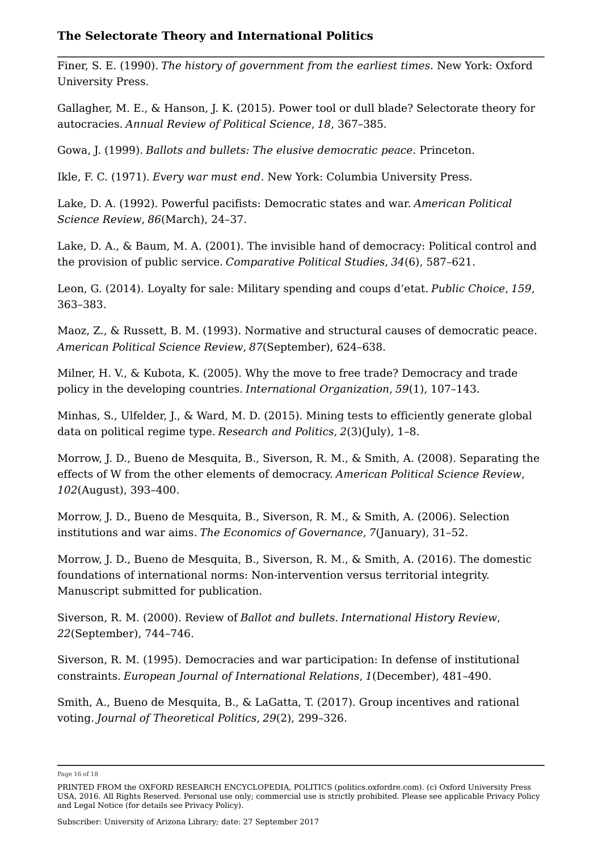Finer, S. E. (1990). *The history of government from the earliest times*. New York: Oxford University Press.

Gallagher, M. E., & Hanson, J. K. (2015). Power tool or dull blade? Selectorate theory for autocracies. *Annual Review of Political Science*, *18*, 367–385.

Gowa, J. (1999). *Ballots and bullets: The elusive democratic peace*. Princeton.

Ikle, F. C. (1971). *Every war must end*. New York: Columbia University Press.

Lake, D. A. (1992). Powerful pacifists: Democratic states and war. *American Political Science Review*, *86*(March), 24–37.

Lake, D. A., & Baum, M. A. (2001). The invisible hand of democracy: Political control and the provision of public service. *Comparative Political Studies*, *34*(6), 587–621.

Leon, G. (2014). Loyalty for sale: Military spending and coups d'etat. *Public Choice*, *159*, 363–383.

Maoz, Z., & Russett, B. M. (1993). Normative and structural causes of democratic peace. *American Political Science Review*, *87*(September), 624–638.

Milner, H. V., & Kubota, K. (2005). Why the move to free trade? Democracy and trade policy in the developing countries. *International Organization*, *59*(1), 107–143.

Minhas, S., Ulfelder, J., & Ward, M. D. (2015). Mining tests to efficiently generate global data on political regime type. *Research and Politics*, *2*(3)(July), 1–8.

Morrow, J. D., Bueno de Mesquita, B., Siverson, R. M., & Smith, A. (2008). Separating the effects of W from the other elements of democracy. *American Political Science Review*, *102*(August), 393–400.

Morrow, J. D., Bueno de Mesquita, B., Siverson, R. M., & Smith, A. (2006). Selection institutions and war aims. *The Economics of Governance*, *7*(January), 31–52.

Morrow, J. D., Bueno de Mesquita, B., Siverson, R. M., & Smith, A. (2016). The domestic foundations of international norms: Non-intervention versus territorial integrity. Manuscript submitted for publication.

Siverson, R. M. (2000). Review of *Ballot and bullets*. *International History Review*, *22*(September), 744–746.

Siverson, R. M. (1995). Democracies and war participation: In defense of institutional constraints. *European Journal of International Relations*, *1*(December), 481–490.

Smith, A., Bueno de Mesquita, B., & LaGatta, T. (2017). Group incentives and rational voting. *Journal of Theoretical Politics*, *29*(2), 299–326.

Subscriber: University of Arizona Library; date: 27 September 2017

Page 16 of 18

PRINTED FROM the OXFORD RESEARCH ENCYCLOPEDIA, POLITICS (politics.oxfordre.com). (c) Oxford University Press USA, 2016. All Rights Reserved. Personal use only; commercial use is strictly prohibited. Please see applicable Privacy Policy and Legal Notice (for details see Privacy Policy).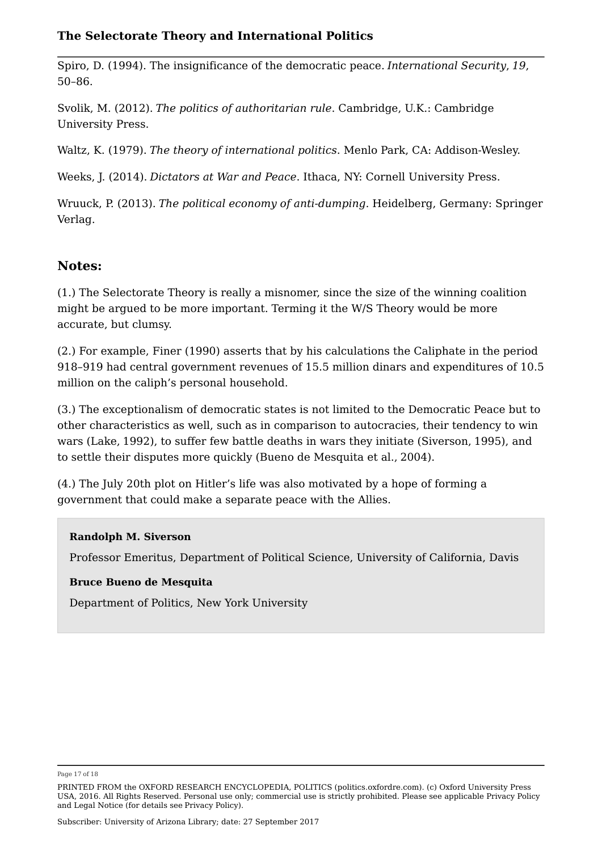Spiro, D. (1994). The insignificance of the democratic peace. *International Security*, *19*, 50–86.

Svolik, M. (2012). *The politics of authoritarian rule*. Cambridge, U.K.: Cambridge University Press.

Waltz, K. (1979). *The theory of international politics*. Menlo Park, CA: Addison-Wesley.

Weeks, J. (2014). *Dictators at War and Peace*. Ithaca, NY: Cornell University Press.

Wruuck, P. (2013). *The political economy of anti-dumping*. Heidelberg, Germany: Springer Verlag.

### **Notes:**

(1.) The Selectorate Theory is really a misnomer, since the size of the winning coalition might be argued to be more important. Terming it the W/S Theory would be more accurate, but clumsy.

(2.) For example, Finer (1990) asserts that by his calculations the Caliphate in the period 918–919 had central government revenues of 15.5 million dinars and expenditures of 10.5 million on the caliph's personal household.

(3.) The exceptionalism of democratic states is not limited to the Democratic Peace but to other characteristics as well, such as in comparison to autocracies, their tendency to win wars (Lake, 1992), to suffer few battle deaths in wars they initiate (Siverson, 1995), and to settle their disputes more quickly (Bueno de Mesquita et al., 2004).

(4.) The July 20th plot on Hitler's life was also motivated by a hope of forming a government that could make a separate peace with the Allies.

#### **Randolph M. Siverson**

Professor Emeritus, Department of Political Science, University of California, Davis

#### **Bruce Bueno de Mesquita**

Department of Politics, New York University

Page 17 of 18

PRINTED FROM the OXFORD RESEARCH ENCYCLOPEDIA, POLITICS (politics.oxfordre.com). (c) Oxford University Press USA, 2016. All Rights Reserved. Personal use only; commercial use is strictly prohibited. Please see applicable Privacy Policy and Legal Notice (for details see Privacy Policy).